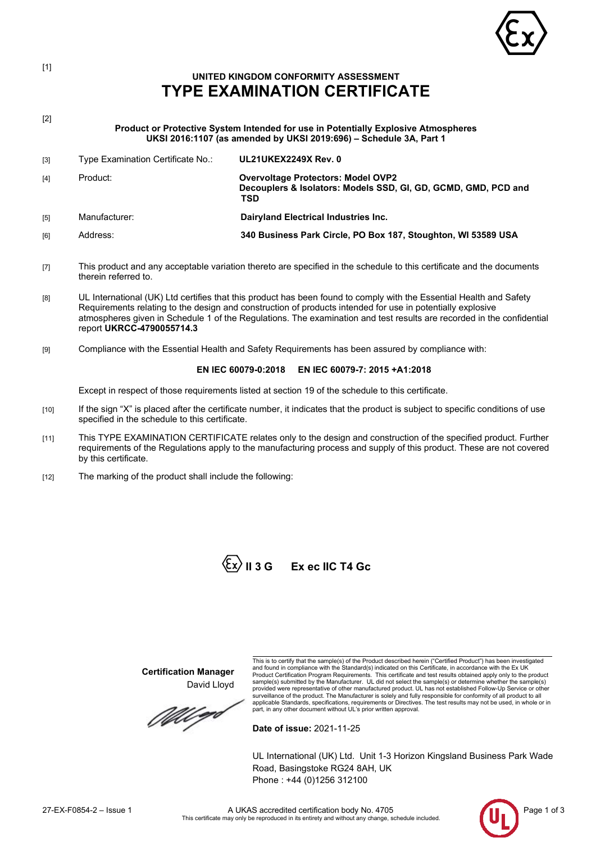

# **UNITED KINGDOM CONFORMITY ASSESSMENT TYPE EXAMINATION CERTIFICATE**

[2]

[1]

**Product or Protective System Intended for use in Potentially Explosive Atmospheres UKSI 2016:1107 (as amended by UKSI 2019:696) – Schedule 3A, Part 1**

- [3] Type Examination Certificate No.: **UL21UKEX2249X Rev. 0** [4] Product: **Overvoltage Protectors: Model OVP2 Decouplers & Isolators: Models SSD, GI, GD, GCMD, GMD, PCD and TSD** [5] Manufacturer: **Dairyland Electrical Industries Inc.** [6] Address: **340 Business Park Circle, PO Box 187, Stoughton, WI 53589 USA**
- [7] This product and any acceptable variation thereto are specified in the schedule to this certificate and the documents therein referred to.
- [8] UL International (UK) Ltd certifies that this product has been found to comply with the Essential Health and Safety Requirements relating to the design and construction of products intended for use in potentially explosive atmospheres given in Schedule 1 of the Regulations. The examination and test results are recorded in the confidential report **UKRCC-4790055714.3**
- [9] Compliance with the Essential Health and Safety Requirements has been assured by compliance with:

### **EN IEC 60079-0:2018 EN IEC 60079-7: 2015 +A1:2018**

Except in respect of those requirements listed at section 19 of the schedule to this certificate.

- [10] If the sign "X" is placed after the certificate number, it indicates that the product is subject to specific conditions of use specified in the schedule to this certificate.
- [11] This TYPE EXAMINATION CERTIFICATE relates only to the design and construction of the specified product. Further requirements of the Regulations apply to the manufacturing process and supply of this product. These are not covered by this certificate.
- [12] The marking of the product shall include the following:



**Certification Manager**

David Lloyd

MU go

This is to certify that the sample(s) of the Product described herein ("Certified Product") has been investigated<br>and found in compliance with the Standard(s) indicated on this Certificate, in accordance with the Ex UK<br>Pro surveillance of the product. The Manufacturer is solely and fully responsible for conformity of all product to all applicable Standards, specifications, requirements or Directives. The test results may not be used, in whole or in part, in any other document without UL's prior written approval.

**Date of issue:** 2021-11-25

UL International (UK) Ltd. Unit 1-3 Horizon Kingsland Business Park Wade Road, Basingstoke RG24 8AH, UK Phone : +44 (0)1256 312100

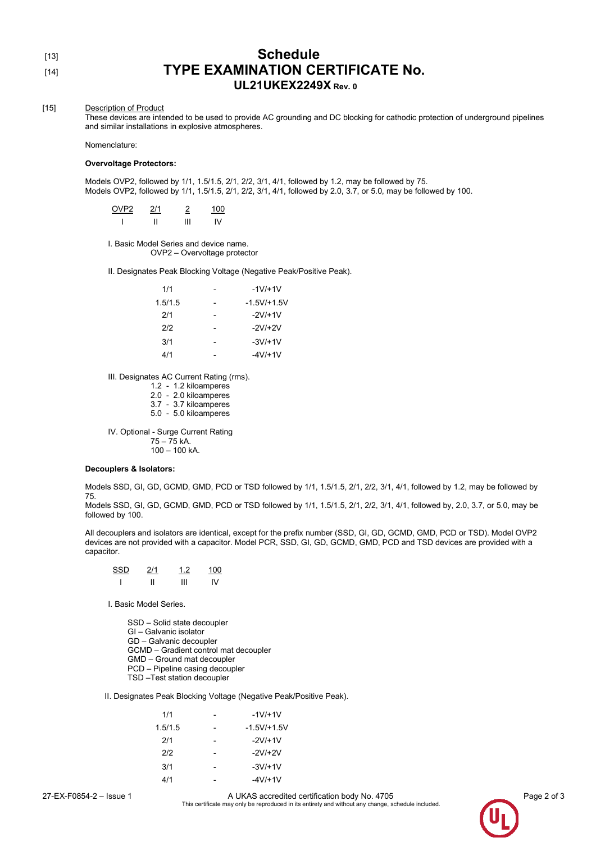## [13] **Schedule** [14] **TYPE EXAMINATION CERTIFICATE No. UL21UKEX2249X Rev. <sup>0</sup>**

#### [15] Description of Product

These devices are intended to be used to provide AC grounding and DC blocking for cathodic protection of underground pipelines and similar installations in explosive atmospheres.

Nomenclature:

#### **Overvoltage Protectors:**

Models OVP2, followed by 1/1, 1.5/1.5, 2/1, 2/2, 3/1, 4/1, followed by 1.2, may be followed by 75. Models OVP2, followed by 1/1, 1.5/1.5, 2/1, 2/2, 3/1, 4/1, followed by 2.0, 3.7, or 5.0, may be followed by 100.

| OVP2 | 2/1 | 2 | 100 |
|------|-----|---|-----|
|      |     | Ш | IV  |

I. Basic Model Series and device name. OVP2 – Overvoltage protector

II. Designates Peak Blocking Voltage (Negative Peak/Positive Peak).

| 1/1     |   | $-1V/+1V$     |
|---------|---|---------------|
| 1.5/1.5 |   | $-1.5V/+1.5V$ |
| 2/1     | - | $-2V/+1V$     |
| 2/2     |   | $-2V/+2V$     |
| 3/1     |   | $-3V/+1V$     |
| 4/1     |   | -4V/+1V       |

III. Designates AC Current Rating (rms).

1.2 - 1.2 kiloamperes

2.0 - 2.0 kiloamperes

3.7 - 3.7 kiloamperes

5.0 - 5.0 kiloamperes

IV. Optional - Surge Current Rating 75 – 75 kA.  $100 - 100$  kA.

#### **Decouplers & Isolators:**

Models SSD, GI, GD, GCMD, GMD, PCD or TSD followed by 1/1, 1.5/1.5, 2/1, 2/2, 3/1, 4/1, followed by 1.2, may be followed by 75.

Models SSD, GI, GD, GCMD, GMD, PCD or TSD followed by 1/1, 1.5/1.5, 2/1, 2/2, 3/1, 4/1, followed by, 2.0, 3.7, or 5.0, may be followed by 100.

All decouplers and isolators are identical, except for the prefix number (SSD, GI, GD, GCMD, GMD, PCD or TSD). Model OVP2 devices are not provided with a capacitor. Model PCR, SSD, GI, GD, GCMD, GMD, PCD and TSD devices are provided with a capacitor.

| <b>SSD</b> | 2/1 | 12 | 1 $\cap$ |
|------------|-----|----|----------|
|            |     | Ш  | IV       |

I. Basic Model Series.

SSD – Solid state decoupler GI – Galvanic isolator GD – Galvanic decoupler GCMD – Gradient control mat decoupler GMD – Ground mat decoupler PCD – Pipeline casing decoupler TSD –Test station decoupler

II. Designates Peak Blocking Voltage (Negative Peak/Positive Peak).

| 1/1     | $-1V+1V$      |
|---------|---------------|
| 1.5/1.5 | $-1.5V/+1.5V$ |
| 2/1     | $-2V/+1V$     |
| 212     | $-2V/+2V$     |
| 3/1     | $-3V/+1V$     |
| 4/1     | -4V/+1V       |

27-EX-F0854-2 – Issue 1 **A UKAS accredited certification body No. 4705** Page 2 of 3<br>This certificate may only be reproduced in its entirety and without any change, schedule included.